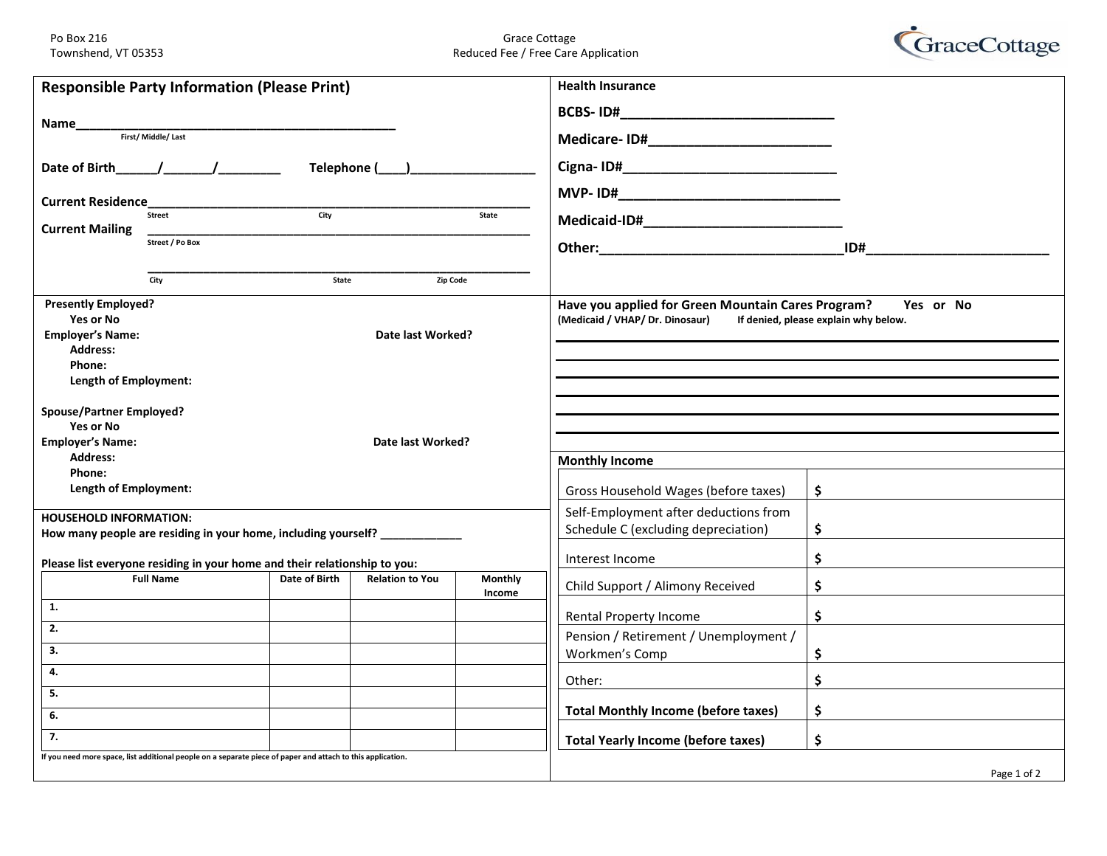Po Box 216 Grace Cottage Grace Cottage Grace Cottage Grace Cottage Grace Cottage Grace Cottage Grace Cottage G<br>Reduced Fee / Free Care Reduced Fee / Free Care Application



|                                                                                      | <b>Responsible Party Information (Please Print)</b>                                                         |               |                        |                   | <b>Health Insurance</b>                            |                                      |
|--------------------------------------------------------------------------------------|-------------------------------------------------------------------------------------------------------------|---------------|------------------------|-------------------|----------------------------------------------------|--------------------------------------|
|                                                                                      |                                                                                                             |               |                        |                   |                                                    |                                      |
| Name___                                                                              | First/Middle/Last                                                                                           |               |                        |                   |                                                    |                                      |
|                                                                                      |                                                                                                             |               |                        |                   |                                                    |                                      |
|                                                                                      | Date of Birth $\frac{1}{2}$ $\frac{1}{2}$                                                                   |               |                        |                   |                                                    |                                      |
|                                                                                      |                                                                                                             |               |                        |                   |                                                    |                                      |
| <b>Current Residence</b><br>$\frac{1}{\frac{1}{\frac{1}{\sqrt{2}}}$<br><b>Street</b> |                                                                                                             |               |                        | State             |                                                    |                                      |
| <b>Current Mailing</b>                                                               |                                                                                                             |               |                        |                   |                                                    |                                      |
|                                                                                      | Street / Po Box                                                                                             |               |                        |                   |                                                    | ID#                                  |
|                                                                                      |                                                                                                             |               |                        |                   |                                                    |                                      |
|                                                                                      | City                                                                                                        | State         | Zip Code               |                   |                                                    |                                      |
| <b>Presently Employed?</b>                                                           |                                                                                                             |               |                        |                   | Have you applied for Green Mountain Cares Program? | Yes or No                            |
| Yes or No                                                                            |                                                                                                             |               |                        |                   | (Medicaid / VHAP/ Dr. Dinosaur)                    | If denied, please explain why below. |
| <b>Employer's Name:</b><br>Date last Worked?                                         |                                                                                                             |               |                        |                   |                                                    |                                      |
| <b>Address:</b>                                                                      |                                                                                                             |               |                        |                   |                                                    |                                      |
| Phone:                                                                               |                                                                                                             |               |                        |                   |                                                    |                                      |
| Length of Employment:                                                                |                                                                                                             |               |                        |                   |                                                    |                                      |
| <b>Spouse/Partner Employed?</b>                                                      |                                                                                                             |               |                        |                   |                                                    |                                      |
| Yes or No                                                                            |                                                                                                             |               |                        |                   |                                                    |                                      |
| <b>Employer's Name:</b>                                                              |                                                                                                             |               | Date last Worked?      |                   |                                                    |                                      |
| <b>Address:</b>                                                                      |                                                                                                             |               |                        |                   | <b>Monthly Income</b>                              |                                      |
| Phone:                                                                               |                                                                                                             |               |                        |                   |                                                    |                                      |
| Length of Employment:                                                                |                                                                                                             |               |                        |                   | Gross Household Wages (before taxes)               | $\frac{1}{2}$                        |
| <b>HOUSEHOLD INFORMATION:</b>                                                        |                                                                                                             |               |                        |                   | Self-Employment after deductions from              |                                      |
|                                                                                      | How many people are residing in your home, including yourself? _________________                            |               |                        |                   | Schedule C (excluding depreciation)                | \$                                   |
|                                                                                      | Please list everyone residing in your home and their relationship to you:                                   |               |                        |                   | Interest Income                                    | \$                                   |
|                                                                                      | <b>Full Name</b>                                                                                            | Date of Birth | <b>Relation to You</b> | Monthly<br>Income | Child Support / Alimony Received                   | \$                                   |
| 1.                                                                                   |                                                                                                             |               |                        |                   | Rental Property Income                             | \$                                   |
| 2.                                                                                   |                                                                                                             |               |                        |                   | Pension / Retirement / Unemployment /              |                                      |
| 3.                                                                                   |                                                                                                             |               |                        |                   | Workmen's Comp                                     | \$                                   |
| 4.                                                                                   |                                                                                                             |               |                        |                   | Other:                                             | \$                                   |
| 5.                                                                                   |                                                                                                             |               |                        |                   |                                                    |                                      |
| 6.                                                                                   |                                                                                                             |               |                        |                   | <b>Total Monthly Income (before taxes)</b>         | \$                                   |
| 7.                                                                                   |                                                                                                             |               |                        |                   | <b>Total Yearly Income (before taxes)</b>          | \$                                   |
|                                                                                      | If you need more space, list additional people on a separate piece of paper and attach to this application. |               |                        |                   |                                                    |                                      |
|                                                                                      |                                                                                                             |               |                        |                   |                                                    | Page 1 of 2                          |